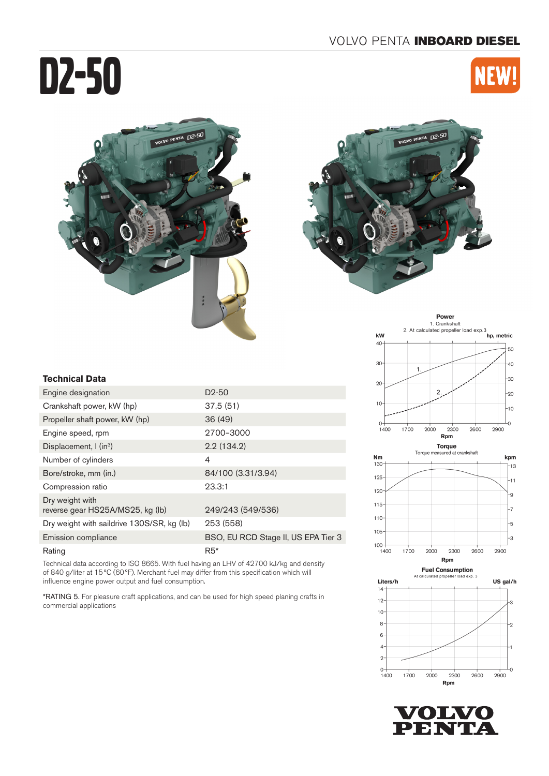# D2-50







#### **Technical Data**

| Engine designation                                  | D <sub>2</sub> -50                  |
|-----------------------------------------------------|-------------------------------------|
| Crankshaft power, kW (hp)                           | 37.5(51)                            |
| Propeller shaft power, kW (hp)                      | 36(49)                              |
| Engine speed, rpm                                   | 2700-3000                           |
| Displacement, $\int$ (in <sup>3</sup> )             | 2.2(134.2)                          |
| Number of cylinders                                 | 4                                   |
| Bore/stroke, mm (in.)                               | 84/100 (3.31/3.94)                  |
| Compression ratio                                   | 23.3:1                              |
| Dry weight with<br>reverse gear HS25A/MS25, kg (lb) | 249/243 (549/536)                   |
| Dry weight with saildrive 130S/SR, kg (lb)          | 253 (558)                           |
| Emission compliance                                 | BSO, EU RCD Stage II, US EPA Tier 3 |
| Rating                                              | $R5*$                               |

Technical data according to ISO 8665. With fuel having an LHV of 42700 kJ/kg and density of 840 g/liter at 15°C (60°F). Merchant fuel may differ from this specification which will influence engine power output and fuel consumption.

\*RATING 5. For pleasure craft applications, and can be used for high speed planing crafts in commercial applications